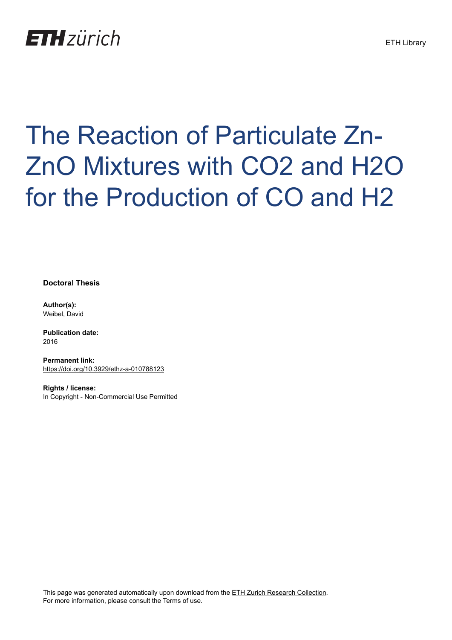# **ETH**zürich

# The Reaction of Particulate Zn-ZnO Mixtures with CO2 and H2O for the Production of CO and H2

**Doctoral Thesis**

**Author(s):** Weibel, David

**Publication date:** 2016

**Permanent link:** <https://doi.org/10.3929/ethz-a-010788123>

**Rights / license:** [In Copyright - Non-Commercial Use Permitted](http://rightsstatements.org/page/InC-NC/1.0/)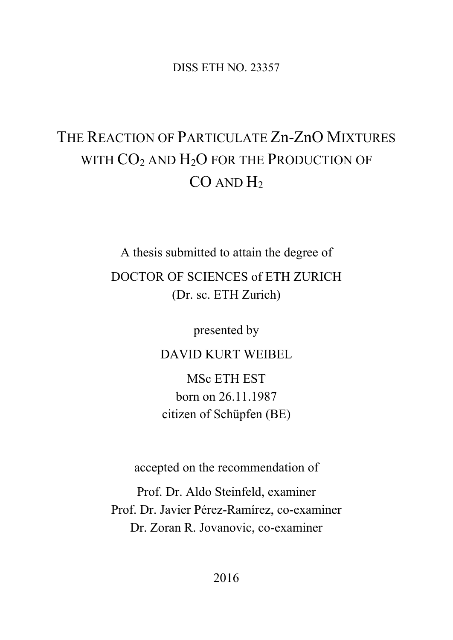DISS ETH NO. 23357

## THE REACTION OF PARTICULATE Zn-ZnO MIXTURES WITH CO<sub>2</sub> AND H<sub>2</sub>O FOR THE PRODUCTION OF  $CO$  AND  $H<sub>2</sub>$

A thesis submitted to attain the degree of DOCTOR OF SCIENCES of ETH ZURICH (Dr. sc. ETH Zurich)

presented by

DAVID KURT WEIBEL

MSc ETH EST born on 26.11.1987 citizen of Schüpfen (BE)

accepted on the recommendation of

Prof. Dr. Aldo Steinfeld, examiner Prof. Dr. Javier Pérez-Ramírez, co-examiner Dr. Zoran R. Jovanovic, co-examiner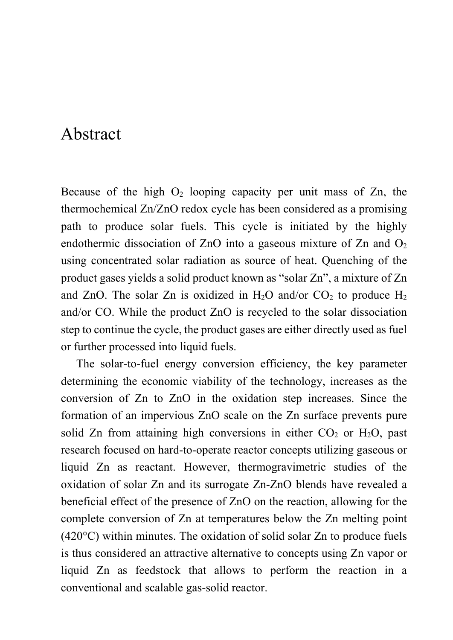#### Abstract

Because of the high  $O_2$  looping capacity per unit mass of  $Zn$ , the thermochemical Zn/ZnO redox cycle has been considered as a promising path to produce solar fuels. This cycle is initiated by the highly endothermic dissociation of ZnO into a gaseous mixture of Zn and  $O_2$ using concentrated solar radiation as source of heat. Quenching of the product gases yields a solid product known as "solar Zn", a mixture of Zn and ZnO. The solar Zn is oxidized in  $H_2O$  and/or  $CO_2$  to produce  $H_2$ and/or CO. While the product ZnO is recycled to the solar dissociation step to continue the cycle, the product gases are either directly used as fuel or further processed into liquid fuels.

The solar-to-fuel energy conversion efficiency, the key parameter determining the economic viability of the technology, increases as the conversion of Zn to ZnO in the oxidation step increases. Since the formation of an impervious ZnO scale on the Zn surface prevents pure solid Zn from attaining high conversions in either  $CO<sub>2</sub>$  or  $H<sub>2</sub>O$ , past research focused on hard-to-operate reactor concepts utilizing gaseous or liquid Zn as reactant. However, thermogravimetric studies of the oxidation of solar Zn and its surrogate Zn-ZnO blends have revealed a beneficial effect of the presence of ZnO on the reaction, allowing for the complete conversion of Zn at temperatures below the Zn melting point (420°C) within minutes. The oxidation of solid solar Zn to produce fuels is thus considered an attractive alternative to concepts using Zn vapor or liquid Zn as feedstock that allows to perform the reaction in a conventional and scalable gas-solid reactor.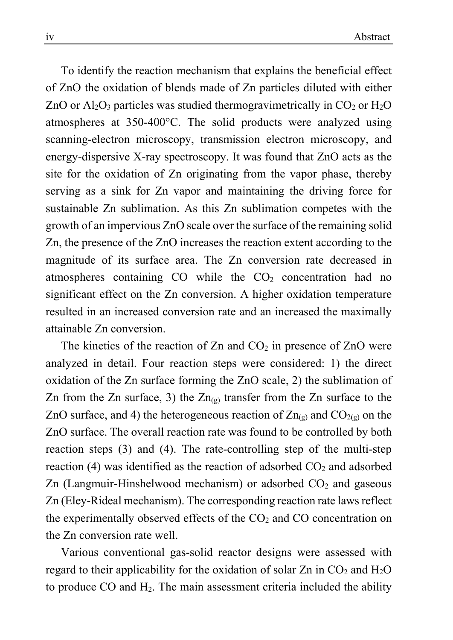To identify the reaction mechanism that explains the beneficial effect of ZnO the oxidation of blends made of Zn particles diluted with either ZnO or  $\text{Al}_2\text{O}_3$  particles was studied thermogravimetrically in CO<sub>2</sub> or H<sub>2</sub>O atmospheres at 350-400°C. The solid products were analyzed using scanning-electron microscopy, transmission electron microscopy, and energy-dispersive X-ray spectroscopy. It was found that ZnO acts as the site for the oxidation of Zn originating from the vapor phase, thereby serving as a sink for Zn vapor and maintaining the driving force for sustainable Zn sublimation. As this Zn sublimation competes with the growth of an impervious ZnO scale over the surface of the remaining solid Zn, the presence of the ZnO increases the reaction extent according to the magnitude of its surface area. The Zn conversion rate decreased in atmospheres containing  $CO$  while the  $CO<sub>2</sub>$  concentration had no significant effect on the Zn conversion. A higher oxidation temperature resulted in an increased conversion rate and an increased the maximally attainable Zn conversion.

The kinetics of the reaction of  $Zn$  and  $CO<sub>2</sub>$  in presence of  $ZnO$  were analyzed in detail. Four reaction steps were considered: 1) the direct oxidation of the Zn surface forming the ZnO scale, 2) the sublimation of Zn from the Zn surface, 3) the  $Zn_{(g)}$  transfer from the Zn surface to the ZnO surface, and 4) the heterogeneous reaction of  $Zn_{(g)}$  and  $CO_{2(g)}$  on the ZnO surface. The overall reaction rate was found to be controlled by both reaction steps (3) and (4). The rate-controlling step of the multi-step reaction (4) was identified as the reaction of adsorbed  $CO<sub>2</sub>$  and adsorbed Zn (Langmuir-Hinshelwood mechanism) or adsorbed  $CO<sub>2</sub>$  and gaseous Zn (Eley-Rideal mechanism). The corresponding reaction rate laws reflect the experimentally observed effects of the  $CO<sub>2</sub>$  and  $CO$  concentration on the Zn conversion rate well.

Various conventional gas-solid reactor designs were assessed with regard to their applicability for the oxidation of solar  $Zn$  in  $CO<sub>2</sub>$  and  $H<sub>2</sub>O$ to produce  $CO$  and  $H<sub>2</sub>$ . The main assessment criteria included the ability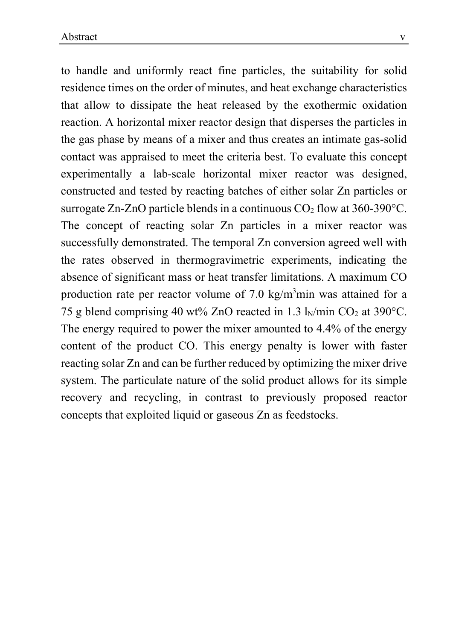to handle and uniformly react fine particles, the suitability for solid residence times on the order of minutes, and heat exchange characteristics that allow to dissipate the heat released by the exothermic oxidation reaction. A horizontal mixer reactor design that disperses the particles in the gas phase by means of a mixer and thus creates an intimate gas-solid contact was appraised to meet the criteria best. To evaluate this concept experimentally a lab-scale horizontal mixer reactor was designed, constructed and tested by reacting batches of either solar Zn particles or surrogate Zn-ZnO particle blends in a continuous  $CO<sub>2</sub>$  flow at 360-390 $^{\circ}$ C. The concept of reacting solar Zn particles in a mixer reactor was successfully demonstrated. The temporal Zn conversion agreed well with the rates observed in thermogravimetric experiments, indicating the absence of significant mass or heat transfer limitations. A maximum CO production rate per reactor volume of 7.0 kg/m<sup>3</sup>min was attained for a 75 g blend comprising 40 wt% ZnO reacted in 1.3  $\frac{1}{N}$ min CO<sub>2</sub> at 390°C. The energy required to power the mixer amounted to 4.4% of the energy content of the product CO. This energy penalty is lower with faster reacting solar Zn and can be further reduced by optimizing the mixer drive system. The particulate nature of the solid product allows for its simple recovery and recycling, in contrast to previously proposed reactor concepts that exploited liquid or gaseous Zn as feedstocks.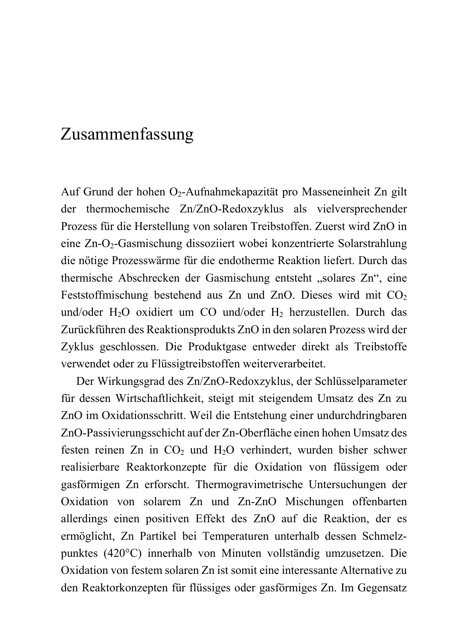### Zusammenfassung

Auf Grund der hohen O2-Aufnahmekapazität pro Masseneinheit Zn gilt der thermochemische Zn/ZnO-Redoxzyklus als vielversprechender Prozess für die Herstellung von solaren Treibstoffen. Zuerst wird ZnO in eine Zn-O2-Gasmischung dissoziiert wobei konzentrierte Solarstrahlung die nötige Prozesswärme für die endotherme Reaktion liefert. Durch das thermische Abschrecken der Gasmischung entsteht "solares Zn", eine Feststoffmischung bestehend aus Zn und ZnO. Dieses wird mit  $CO<sub>2</sub>$ und/oder H<sub>2</sub>O oxidiert um CO und/oder H<sub>2</sub> herzustellen. Durch das Zurückführen des Reaktionsprodukts ZnO in den solaren Prozess wird der Zyklus geschlossen. Die Produktgase entweder direkt als Treibstoffe verwendet oder zu Flüssigtreibstoffen weiterverarbeitet.

Der Wirkungsgrad des Zn/ZnO-Redoxzyklus, der Schlüsselparameter für dessen Wirtschaftlichkeit, steigt mit steigendem Umsatz des Zn zu ZnO im Oxidationsschritt. Weil die Entstehung einer undurchdringbaren ZnO-Passivierungsschicht auf der Zn-Oberfläche einen hohen Umsatz des festen reinen Zn in  $CO<sub>2</sub>$  und  $H<sub>2</sub>O$  verhindert, wurden bisher schwer realisierbare Reaktorkonzepte für die Oxidation von flüssigem oder gasförmigen Zn erforscht. Thermogravimetrische Untersuchungen der Oxidation von solarem Zn und Zn-ZnO Mischungen offenbarten allerdings einen positiven Effekt des ZnO auf die Reaktion, der es ermöglicht, Zn Partikel bei Temperaturen unterhalb dessen Schmelzpunktes (420°C) innerhalb von Minuten vollständig umzusetzen. Die Oxidation von festem solaren Zn ist somit eine interessante Alternative zu den Reaktorkonzepten für flüssiges oder gasförmiges Zn. Im Gegensatz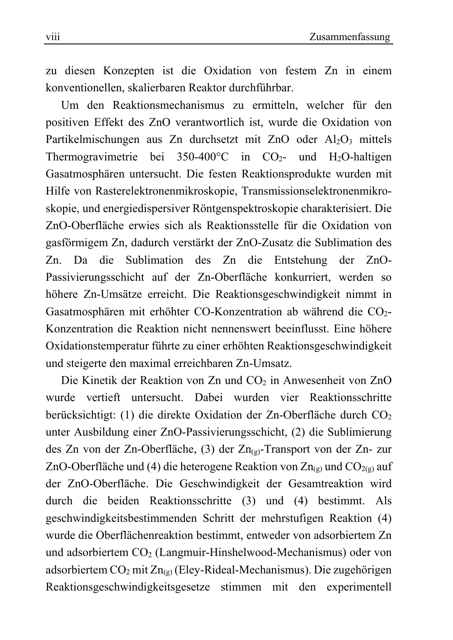zu diesen Konzepten ist die Oxidation von festem Zn in einem konventionellen, skalierbaren Reaktor durchführbar.

Um den Reaktionsmechanismus zu ermitteln, welcher für den positiven Effekt des ZnO verantwortlich ist, wurde die Oxidation von Partikelmischungen aus Zn durchsetzt mit ZnO oder Al<sub>2</sub>O<sub>3</sub> mittels Thermogravimetrie bei 350-400 $^{\circ}$ C in CO<sub>2</sub>- und H<sub>2</sub>O-haltigen Gasatmosphären untersucht. Die festen Reaktionsprodukte wurden mit Hilfe von Rasterelektronenmikroskopie, Transmissionselektronenmikroskopie, und energiedispersiver Röntgenspektroskopie charakterisiert. Die ZnO-Oberfläche erwies sich als Reaktionsstelle für die Oxidation von gasförmigem Zn, dadurch verstärkt der ZnO-Zusatz die Sublimation des Zn. Da die Sublimation des Zn die Entstehung der ZnO-Passivierungsschicht auf der Zn-Oberfläche konkurriert, werden so höhere Zn-Umsätze erreicht. Die Reaktionsgeschwindigkeit nimmt in Gasatmosphären mit erhöhter CO-Konzentration ab während die CO<sub>2</sub>-Konzentration die Reaktion nicht nennenswert beeinflusst. Eine höhere Oxidationstemperatur führte zu einer erhöhten Reaktionsgeschwindigkeit und steigerte den maximal erreichbaren Zn-Umsatz.

Die Kinetik der Reaktion von Zn und CO<sub>2</sub> in Anwesenheit von ZnO wurde vertieft untersucht. Dabei wurden vier Reaktionsschritte berücksichtigt:  $(1)$  die direkte Oxidation der Zn-Oberfläche durch CO<sub>2</sub> unter Ausbildung einer ZnO-Passivierungsschicht, (2) die Sublimierung des Zn von der Zn-Oberfläche, (3) der Zn $_{(9)}$ -Transport von der Zn- zur ZnO-Oberfläche und (4) die heterogene Reaktion von Zn<sub>(g)</sub> und CO<sub>2(g)</sub> auf der ZnO-Oberfläche. Die Geschwindigkeit der Gesamtreaktion wird durch die beiden Reaktionsschritte (3) und (4) bestimmt. Als geschwindigkeitsbestimmenden Schritt der mehrstufigen Reaktion (4) wurde die Oberflächenreaktion bestimmt, entweder von adsorbiertem Zn und adsorbiertem CO2 (Langmuir-Hinshelwood-Mechanismus) oder von adsorbiertem  $CO_2$  mit  $Zn_{(g)}$  (Eley-Rideal-Mechanismus). Die zugehörigen Reaktionsgeschwindigkeitsgesetze stimmen mit den experimentell